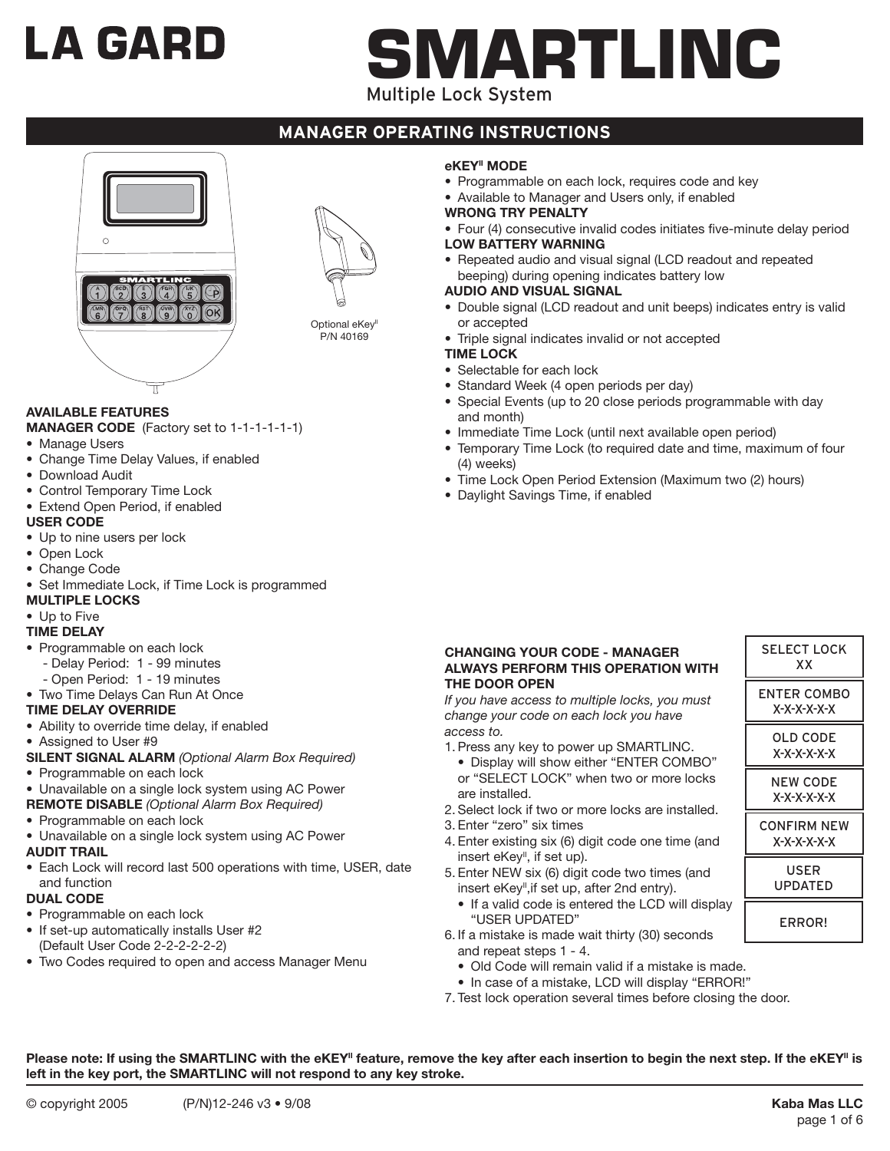# LA GARD

# **MARTLINC**

Multiple Lock System

# **manager operating instructions**





Optional eKey<sup>II</sup> P/N 40169

# **AVAILABLE FEATURES**

- **MANAGER CODE** (Factory set to 1-1-1-1-1-1)
- Manage Users
- Change Time Delay Values, if enabled
- Download Audit
- Control Temporary Time Lock
- Extend Open Period, if enabled

## **USER CODE**

- Up to nine users per lock
- Open Lock
- • Change Code
- Set Immediate Lock, if Time Lock is programmed

# **MULTIPLE LOCKS**

# • Up to Five

# **TIME DELAY**

- Programmable on each lock
- Delay Period: 1 99 minutes
- Open Period: 1 19 minutes
- Two Time Delays Can Run At Once

#### **TIME DELAY OVERRIDE**

• Ability to override time delay, if enabled

#### • Assigned to User #9

- **SILENT SIGNAL ALARM** *(Optional Alarm Box Required)*
- Programmable on each lock
- Unavailable on a single lock system using AC Power
- **REMOTE DISABLE** *(Optional Alarm Box Required)*
- Programmable on each lock
- Unavailable on a single lock system using AC Power

#### **AUDIT TRAIL**

• Each Lock will record last 500 operations with time, USER, date and function

#### **DUAL CODE**

- Programmable on each lock
- If set-up automatically installs User #2 (Default User Code 2-2-2-2-2-2)
- Two Codes required to open and access Manager Menu

#### **eKEYII MODE**

- Programmable on each lock, requires code and key
- Available to Manager and Users only, if enabled
- **WRONG TRY PENALTY**
- Four (4) consecutive invalid codes initiates five-minute delay period **LOW BATTERY WARNING**
- Repeated audio and visual signal (LCD readout and repeated beeping) during opening indicates battery low

#### **AUDIO AND VISUAL SIGNAL**

- Double signal (LCD readout and unit beeps) indicates entry is valid or accepted
- Triple signal indicates invalid or not accepted

# **TIME LOCK**

- Selectable for each lock
- Standard Week (4 open periods per day)
- Special Events (up to 20 close periods programmable with day and month)
- Immediate Time Lock (until next available open period)
- Temporary Time Lock (to required date and time, maximum of four (4) weeks)
- Time Lock Open Period Extension (Maximum two (2) hours)
- Daylight Savings Time, if enabled

#### **CHANGING YOUR CODE - MANAGER ALWAYS PERFORM THIS OPERATION WITH THE DOOR OPEN**

*If you have access to multiple locks, you must change your code on each lock you have access to.*

- 1. Press any key to power up SMARTLINC. • Display will show either "ENTER COMBO" or "SELECT LOCK" when two or more locks are installed.
- 2. Select lock if two or more locks are installed.
- 3. Enter "zero" six times
- 4. Enter existing six (6) digit code one time (and insert eKey<sup>"</sup>, if set up).
- 5. Enter NEW six (6) digit code two times (and insert eKey<sup>"</sup>, if set up, after 2nd entry).
	- If a valid code is entered the LCD will display "USER UPDATED"
- 6. If a mistake is made wait thirty (30) seconds and repeat steps 1 - 4.
	- Old Code will remain valid if a mistake is made.
- In case of a mistake, LCD will display "ERROR!"
- 7. Test lock operation several times before closing the door.

Please note: If using the SMARTLINC with the eKEY<sup>II</sup> feature, remove the key after each insertion to begin the next step. If the eKEY<sup>II</sup> is **left in the key port, the SMARTLINC will not respond to any key stroke.**

| <b>SELECT LOCK</b><br>XХ       |
|--------------------------------|
| ENTER COMBO<br>X-X-X-X-X-X     |
| OLD CODE<br>$X-X-X-X-X$        |
| <b>NEW CODE</b><br>X-X-X-X-X-X |
| CONFIRM NFW<br>X-X-X-X-X-X     |
| USER<br>UPDATED                |
| ERROR!                         |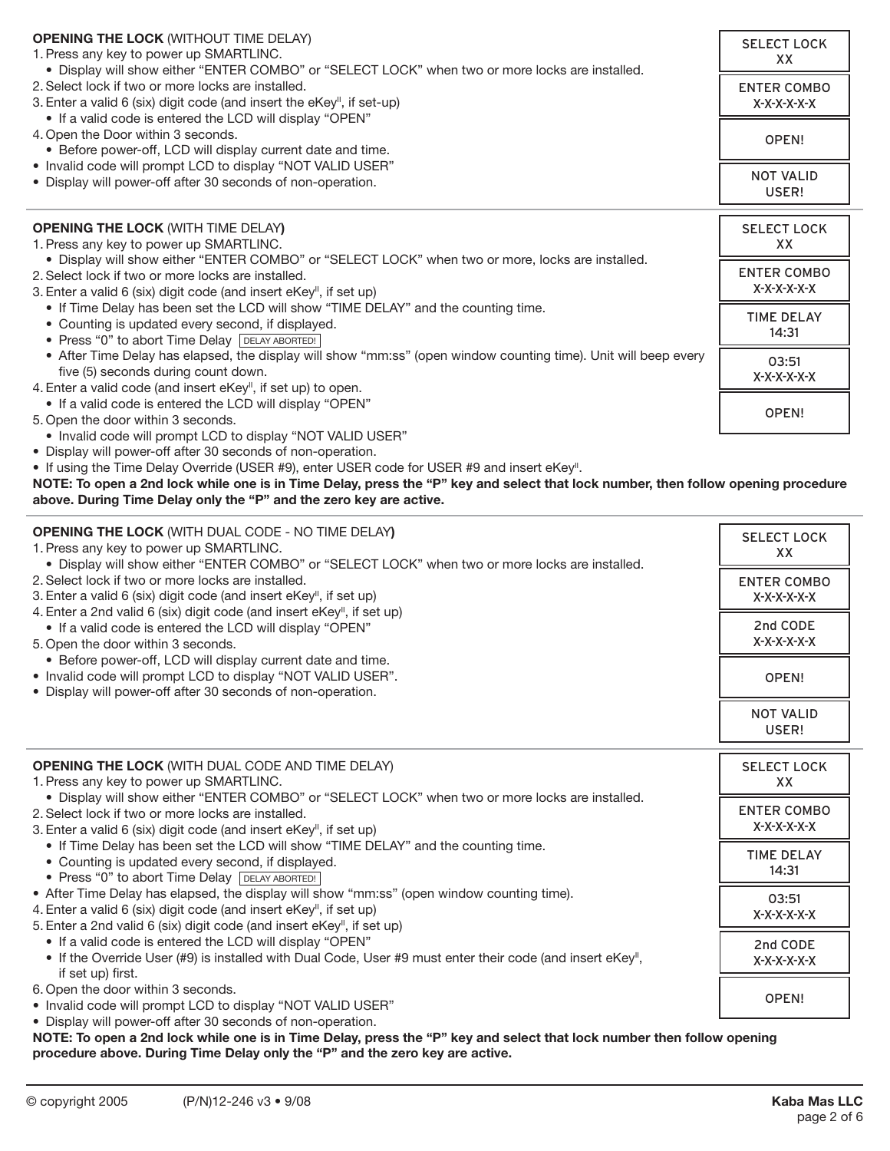| <b>OPENING THE LOCK (WITHOUT TIME DELAY)</b><br>1. Press any key to power up SMARTLINC.<br>. Display will show either "ENTER COMBO" or "SELECT LOCK" when two or more locks are installed.                                  | <b>SELECT LOCK</b><br>XX.         |
|-----------------------------------------------------------------------------------------------------------------------------------------------------------------------------------------------------------------------------|-----------------------------------|
| 2. Select lock if two or more locks are installed.<br>3. Enter a valid 6 (six) digit code (and insert the eKey <sup>"</sup> , if set-up)                                                                                    | <b>ENTER COMBO</b><br>$X-X-X-X-X$ |
| • If a valid code is entered the LCD will display "OPEN"<br>4. Open the Door within 3 seconds.<br>• Before power-off, LCD will display current date and time.                                                               | OPEN!                             |
| • Invalid code will prompt LCD to display "NOT VALID USER"<br>• Display will power-off after 30 seconds of non-operation.                                                                                                   | <b>NOT VALID</b><br>USER!         |
| <b>OPENING THE LOCK (WITH TIME DELAY)</b><br>1. Press any key to power up SMARTLINC.                                                                                                                                        | <b>SELECT LOCK</b><br>XX          |
| . Display will show either "ENTER COMBO" or "SELECT LOCK" when two or more, locks are installed.<br>2. Select lock if two or more locks are installed.<br>3. Enter a valid 6 (six) digit code (and insert eKey", if set up) | <b>ENTER COMBO</b><br>X-X-X-X-X-X |
| • If Time Delay has been set the LCD will show "TIME DELAY" and the counting time.<br>• Counting is updated every second, if displayed.<br>• Press "0" to abort Time Delay DELAY ABORTED!                                   | <b>TIME DELAY</b><br>14:31        |
| • After Time Delay has elapsed, the display will show "mm:ss" (open window counting time). Unit will beep every<br>five (5) seconds during count down.<br>4. Enter a valid code (and insert eKey", if set up) to open.      | 03:51<br>X-X-X-X-X-X              |
| • If a valid code is entered the LCD will display "OPEN"<br>5. Open the door within 3 seconds.<br>$\bullet$ Involid code will prompt LCD to display "NOT VALID LISED"                                                       | OPEN!                             |

- Invalid code will prompt LCD to display "NOT VALID USER"
- Display will power-off after 30 seconds of non-operation.
- If using the Time Delay Override (USER #9), enter USER code for USER #9 and insert eKey".

**NOTE: To open a 2nd lock while one is in Time Delay, press the "P" key and select that lock number, then follow opening procedure above. During Time Delay only the "P" and the zero key are active.**

| <b>OPENING THE LOCK (WITH DUAL CODE - NO TIME DELAY)</b><br>1. Press any key to power up SMARTLINC.<br>. Display will show either "ENTER COMBO" or "SELECT LOCK" when two or more locks are installed. | <b>SELECT LOCK</b><br>XX          |
|--------------------------------------------------------------------------------------------------------------------------------------------------------------------------------------------------------|-----------------------------------|
| 2. Select lock if two or more locks are installed.<br>3. Enter a valid 6 (six) digit code (and insert eKey", if set up)                                                                                | <b>ENTER COMBO</b><br>X-X-X-X-X-X |
| 4. Enter a 2nd valid 6 (six) digit code (and insert eKey", if set up)<br>• If a valid code is entered the LCD will display "OPEN"<br>5. Open the door within 3 seconds.                                | 2nd CODE<br>X-X-X-X-X-X           |
| • Before power-off, LCD will display current date and time.<br>• Invalid code will prompt LCD to display "NOT VALID USER".<br>• Display will power-off after 30 seconds of non-operation.              | OPEN!                             |
|                                                                                                                                                                                                        | <b>NOT VALID</b><br>USER!         |

| <b>OPENING THE LOCK (WITH DUAL CODE AND TIME DELAY)</b>                                                   | <b>SELECT LOCK</b> |
|-----------------------------------------------------------------------------------------------------------|--------------------|
| 1. Press any key to power up SMARTLINC.                                                                   | XX                 |
| . Display will show either "ENTER COMBO" or "SELECT LOCK" when two or more locks are installed.           |                    |
| 2. Select lock if two or more locks are installed.                                                        | <b>ENTER COMBO</b> |
| 3. Enter a valid 6 (six) digit code (and insert eKey", if set up)                                         | X-X-X-X-X-X        |
| • If Time Delay has been set the LCD will show "TIME DELAY" and the counting time.                        | <b>TIME DELAY</b>  |
| • Counting is updated every second, if displayed.                                                         |                    |
| • Press "0" to abort Time Delay DELAY ABORTED!                                                            | 14:31              |
| • After Time Delay has elapsed, the display will show "mm:ss" (open window counting time).                | 03:51              |
| 4. Enter a valid 6 (six) digit code (and insert eKey", if set up)                                         | Х-Х-Х-Х-Х-Х        |
| 5. Enter a 2nd valid 6 (six) digit code (and insert eKey", if set up)                                     |                    |
| • If a valid code is entered the LCD will display "OPEN"                                                  | 2nd CODE           |
| • If the Override User (#9) is installed with Dual Code, User #9 must enter their code (and insert eKey", | X-X-X-X-X-X        |
| if set up) first.                                                                                         |                    |
| 6. Open the door within 3 seconds.                                                                        |                    |
| $\bullet$ Involid code will prompt LCD to display "NOT VALID LISED"                                       | OPEN!              |

- Invalid code will prompt LCD to display "NOT VALID USER"
- Display will power-off after 30 seconds of non-operation.

**NOTE: To open a 2nd lock while one is in Time Delay, press the "P" key and select that lock number then follow opening procedure above. During Time Delay only the "P" and the zero key are active.**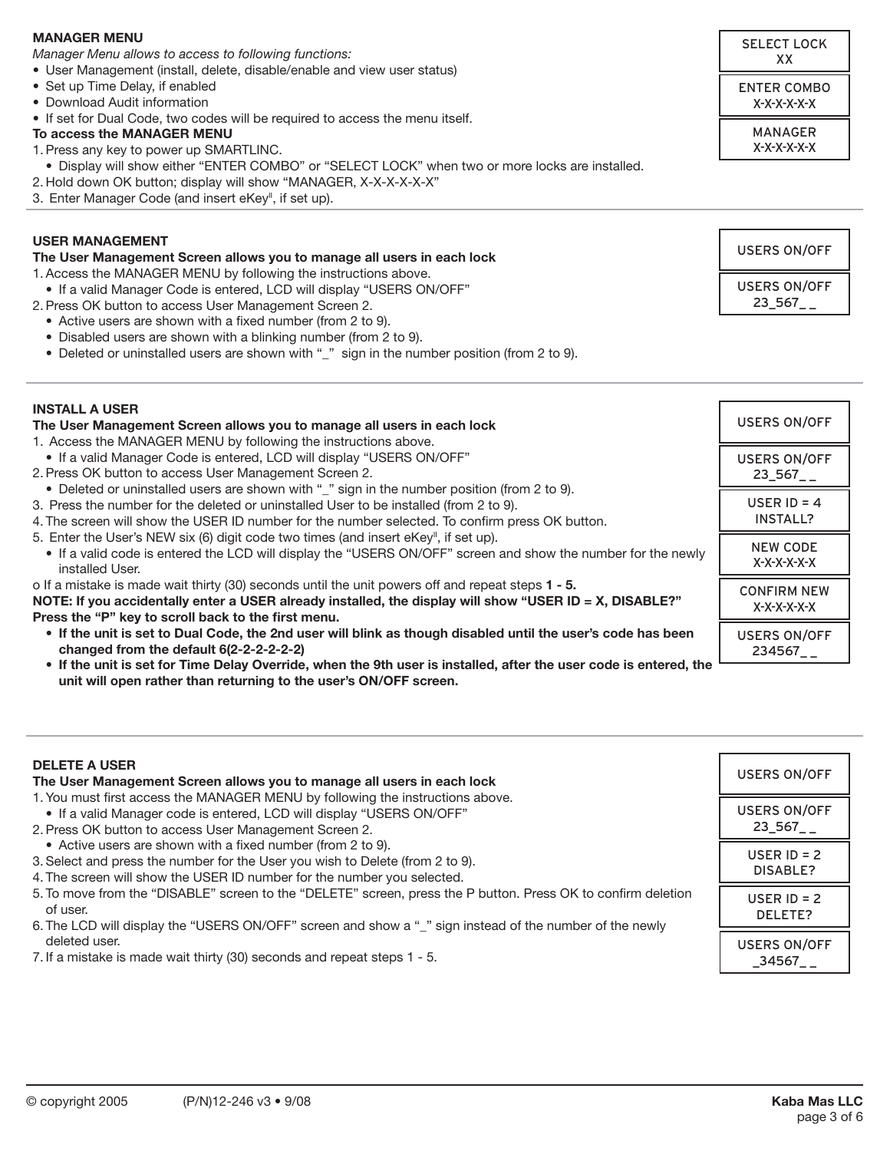#### **MANAGER MENU**

*Manager Menu allows to access to following functions:*

- • User Management (install, delete, disable/enable and view user status)
- Set up Time Delay, if enabled
- • Download Audit information
- If set for Dual Code, two codes will be required to access the menu itself.
- **To access the MANAGER MENU**
- 1. Press any key to power up SMARTLINC.
- • Display will show either "ENTER COMBO" or "SELECT LOCK" when two or more locks are installed.
- 2. Hold down OK button; display will show "MANAGER, X-X-X-X-X-X"
- 3. Enter Manager Code (and insert eKey<sup>II</sup>, if set up).

#### **USER MANAGEMENT**

#### **The User Management Screen allows you to manage all users in each lock**

1. Access the MANAGER MENU by following the instructions above.

- If a valid Manager Code is entered, LCD will display "USERS ON/OFF"
- 2. Press OK button to access User Management Screen 2.
	- Active users are shown with a fixed number (from 2 to 9).
	- Disabled users are shown with a blinking number (from 2 to 9).
	- Deleted or uninstalled users are shown with "\_" sign in the number position (from 2 to 9).

| <b>INSTALL A USER</b><br>The User Management Screen allows you to manage all users in each lock<br>1. Access the MANAGER MENU by following the instructions above.                                                                                                           | <b>USERS ON/OFF</b>               |
|------------------------------------------------------------------------------------------------------------------------------------------------------------------------------------------------------------------------------------------------------------------------------|-----------------------------------|
| • If a valid Manager Code is entered, LCD will display "USERS ON/OFF"<br>2. Press OK button to access User Management Screen 2.<br>• Deleted or uninstalled users are shown with "_" sign in the number position (from 2 to 9).                                              | <b>USERS ON/OFF</b><br>23 567     |
| 3. Press the number for the deleted or uninstalled User to be installed (from 2 to 9).<br>4. The screen will show the USER ID number for the number selected. To confirm press OK button.                                                                                    | USER ID = $4$<br><b>INSTALL?</b>  |
| 5. Enter the User's NEW six (6) digit code two times (and insert eKey", if set up).<br>• If a valid code is entered the LCD will display the "USERS ON/OFF" screen and show the number for the newly<br>installed User.                                                      | <b>NEW CODE</b><br>$X-X-X-X-X$    |
| o If a mistake is made wait thirty (30) seconds until the unit powers off and repeat steps 1 - 5.<br>NOTE: If you accidentally enter a USER already installed, the display will show "USER ID = $X$ , DISABLE?"<br>Press the "P" key to scroll back to the first menu.       | <b>CONFIRM NEW</b><br>$X-X-X-X-X$ |
| • If the unit is set to Dual Code, the 2nd user will blink as though disabled until the user's code has been<br>changed from the default 6(2-2-2-2-2-2)<br>• If the unit is set for Time Delay Override, when the 9th user is installed, after the user code is entered, the | <b>USERS ON/OFF</b><br>234567     |

 **unit will open rather than returning to the user's ON/OFF screen.**

| <b>DELETE A USER</b><br>The User Management Screen allows you to manage all users in each lock                                                                                                                                        | <b>USERS ON/OFF</b>           |
|---------------------------------------------------------------------------------------------------------------------------------------------------------------------------------------------------------------------------------------|-------------------------------|
| 1. You must first access the MANAGER MENU by following the instructions above.<br>• If a valid Manager code is entered, LCD will display "USERS ON/OFF"<br>2. Press OK button to access User Management Screen 2.                     | <b>USERS ON/OFF</b><br>23 567 |
| • Active users are shown with a fixed number (from 2 to 9).<br>3. Select and press the number for the User you wish to Delete (from 2 to 9).<br>4. The screen will show the USER ID number for the number you selected.               | USER $ID = 2$<br>DISABLE?     |
| 5. To move from the "DISABLE" screen to the "DELETE" screen, press the P button. Press OK to confirm deletion<br>of user.<br>6. The LCD will display the "USERS ON/OFF" screen and show a "_" sign instead of the number of the newly | USER $ID = 2$<br>DELETE?      |
| deleted user.<br>7. If a mistake is made wait thirty (30) seconds and repeat steps 1 - 5.                                                                                                                                             | <b>USERS ON/OFF</b><br>34567  |

| <b>SELECT LOCK</b><br>xх   |
|----------------------------|
| ENTER COMBO<br>X-X-X-X-X-X |
| MANAGFR<br>$X-X-X-X-X$     |

USERS ON/OFF USERS ON/OFF

23\_567\_ \_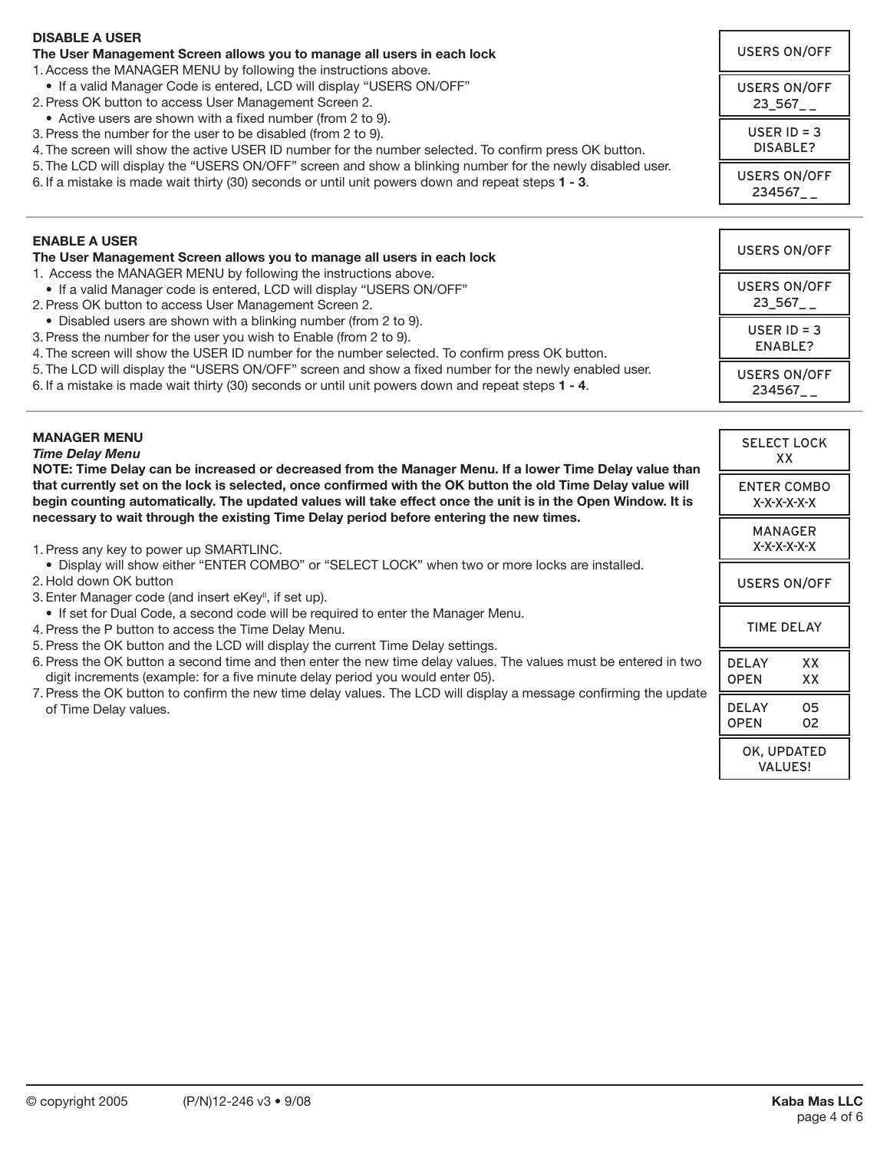| <b>DISABLE A USER</b><br>The User Management Screen allows you to manage all users in each lock<br>1. Access the MANAGER MENU by following the instructions above.                                                                                                                                                                    | <b>USERS ON/OFF</b>                            |
|---------------------------------------------------------------------------------------------------------------------------------------------------------------------------------------------------------------------------------------------------------------------------------------------------------------------------------------|------------------------------------------------|
| • If a valid Manager Code is entered, LCD will display "USERS ON/OFF"<br>2. Press OK button to access User Management Screen 2.<br>• Active users are shown with a fixed number (from 2 to 9).                                                                                                                                        | <b>USERS ON/OFF</b><br>$23\_567$ <sub>--</sub> |
| 3. Press the number for the user to be disabled (from 2 to 9).<br>4. The screen will show the active USER ID number for the number selected. To confirm press OK button.                                                                                                                                                              | USER $ID = 3$<br><b>DISABLE?</b>               |
| 5. The LCD will display the "USERS ON/OFF" screen and show a blinking number for the newly disabled user.<br>6. If a mistake is made wait thirty (30) seconds or until unit powers down and repeat steps 1 - 3.                                                                                                                       | <b>USERS ON/OFF</b><br>234567__                |
|                                                                                                                                                                                                                                                                                                                                       |                                                |
| <b>ENABLE A USER</b><br>The User Management Screen allows you to manage all users in each lock                                                                                                                                                                                                                                        | <b>USERS ON/OFF</b>                            |
| 1. Access the MANAGER MENU by following the instructions above.<br>• If a valid Manager code is entered, LCD will display "USERS ON/OFF"<br>2. Press OK button to access User Management Screen 2.                                                                                                                                    | <b>USERS ON/OFF</b><br>$23\_567$ <sub>--</sub> |
| • Disabled users are shown with a blinking number (from 2 to 9).<br>3. Press the number for the user you wish to Enable (from 2 to 9).<br>4. The screen will show the USER ID number for the number selected. To confirm press OK button.                                                                                             | USER $ID = 3$<br>ENABLE?                       |
| 5. The LCD will display the "USERS ON/OFF" screen and show a fixed number for the newly enabled user.<br>6. If a mistake is made wait thirty (30) seconds or until unit powers down and repeat steps 1 - 4.                                                                                                                           | <b>USERS ON/OFF</b><br>$234567$ <sub>-</sub>   |
|                                                                                                                                                                                                                                                                                                                                       |                                                |
| <b>MANAGER MENU</b><br><b>Time Delay Menu</b>                                                                                                                                                                                                                                                                                         | <b>SELECT LOCK</b><br>XX                       |
| NOTE: Time Delay can be increased or decreased from the Manager Menu. If a lower Time Delay value than<br>that currently set on the lock is selected, once confirmed with the OK button the old Time Delay value will<br>begin counting automatically. The updated values will take effect once the unit is in the Open Window. It is | <b>ENTER COMBO</b><br>X-X-X-X-X-X              |
| necessary to wait through the existing Time Delay period before entering the new times.<br>1. Press any key to power up SMARTLINC.                                                                                                                                                                                                    | <b>MANAGER</b><br>$X-X-X-X-X$                  |
| • Display will show either "ENTER COMBO" or "SELECT LOCK" when two or more locks are installed.<br>2. Hold down OK button<br>3. Enter Manager code (and insert eKey", if set up).                                                                                                                                                     | <b>USERS ON/OFF</b>                            |
| • If set for Dual Code, a second code will be required to enter the Manager Menu.<br>4. Press the P button to access the Time Delay Menu.<br>5. Press the OK button and the LCD will display the current Time Delay settings.                                                                                                         | <b>TIME DELAY</b>                              |
| 6. Press the OK button a second time and then enter the new time delay values. The values must be entered in two<br>digit increments (example: for a five minute delay period you would enter 05).                                                                                                                                    | <b>DELAY</b><br>XХ<br><b>OPEN</b><br>XX        |
| 7. Press the OK button to confirm the new time delay values. The LCD will display a message confirming the update<br>of Time Delay values.                                                                                                                                                                                            | <b>DELAY</b><br>05<br><b>OPEN</b><br>02        |
|                                                                                                                                                                                                                                                                                                                                       | OK, UPDATED                                    |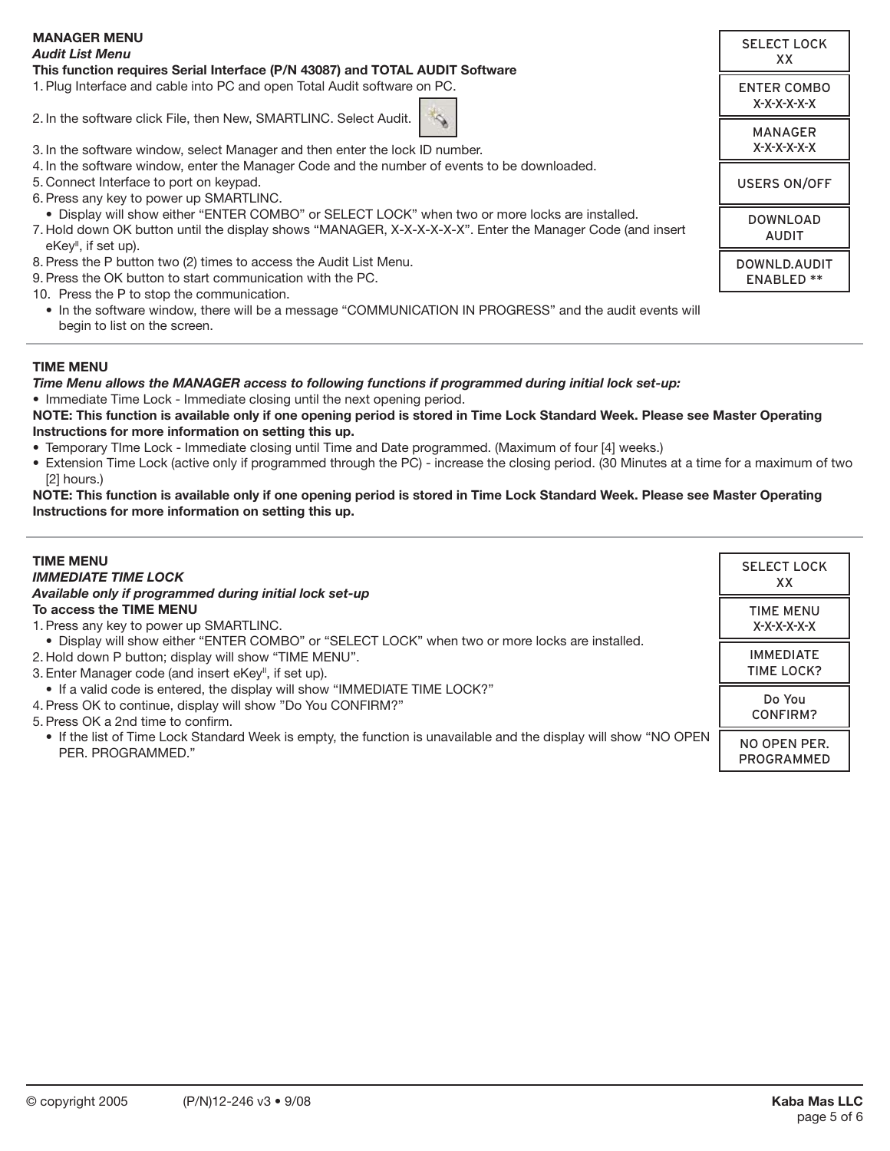| <b>MANAGER MENU</b><br><b>Audit List Menu</b><br>This function requires Serial Interface (P/N 43087) and TOTAL AUDIT Software                                                                                                                     | <b>SELECT LOCK</b><br>XX.         |
|---------------------------------------------------------------------------------------------------------------------------------------------------------------------------------------------------------------------------------------------------|-----------------------------------|
| 1. Plug Interface and cable into PC and open Total Audit software on PC.                                                                                                                                                                          | <b>ENTER COMBO</b><br>X-X-X-X-X-X |
| 2. In the software click File, then New, SMARTLINC. Select Audit.<br>3. In the software window, select Manager and then enter the lock ID number.                                                                                                 | <b>MANAGER</b><br>$X-X-X-X-X$     |
| 4. In the software window, enter the Manager Code and the number of events to be downloaded.<br>5. Connect Interface to port on keypad.<br>6. Press any key to power up SMARTLINC.                                                                | <b>USERS ON/OFF</b>               |
| . Display will show either "ENTER COMBO" or SELECT LOCK" when two or more locks are installed.<br>7. Hold down OK button until the display shows "MANAGER, X-X-X-X-X-X". Enter the Manager Code (and insert<br>$e$ Key <sup>"</sup> , if set up). | <b>DOWNLOAD</b><br><b>AUDIT</b>   |
| 8. Press the P button two (2) times to access the Audit List Menu.<br>9. Press the OK button to start communication with the PC.<br>10. Press the P to stop the communication.                                                                    | DOWNLD.AUDIT<br><b>ENABLED **</b> |
| • In the software window, there will be a message "COMMUNICATION IN PROGRESS" and the audit events will<br>begin to list on the screen.                                                                                                           |                                   |

#### **TIME MENU**

*Time Menu allows the MANAGER access to following functions if programmed during initial lock set-up:*

• Immediate Time Lock - Immediate closing until the next opening period.

**NOTE: This function is available only if one opening period is stored in Time Lock Standard Week. Please see Master Operating Instructions for more information on setting this up.**

- • Temporary TIme Lock Immediate closing until Time and Date programmed. (Maximum of four [4] weeks.)
- Extension Time Lock (active only if programmed through the PC) increase the closing period. (30 Minutes at a time for a maximum of two [2] hours.)

**NOTE: This function is available only if one opening period is stored in Time Lock Standard Week. Please see Master Operating Instructions for more information on setting this up.**

| <b>TIME MENU</b>                                                                                                                       | <b>SELECT LOCK</b>         |
|----------------------------------------------------------------------------------------------------------------------------------------|----------------------------|
| <b>IMMEDIATE TIME LOCK</b>                                                                                                             | XX                         |
| Available only if programmed during initial lock set-up                                                                                |                            |
| To access the TIME MENU                                                                                                                | <b>TIME MENU</b>           |
| 1. Press any key to power up SMARTLINC.                                                                                                | X-X-X-X-X-X                |
| . Display will show either "ENTER COMBO" or "SELECT LOCK" when two or more locks are installed.                                        |                            |
| 2. Hold down P button; display will show "TIME MENU".                                                                                  | <b>IMMEDIATE</b>           |
| 3. Enter Manager code (and insert eKey", if set up).                                                                                   | TIME LOCK?                 |
| • If a valid code is entered, the display will show "IMMEDIATE TIME LOCK?"                                                             |                            |
| 4. Press OK to continue, display will show "Do You CONFIRM?"                                                                           | Do You                     |
| 5. Press OK a 2nd time to confirm.                                                                                                     | CONFIRM?                   |
| • If the list of Time Lock Standard Week is empty, the function is unavailable and the display will show "NO OPEN<br>PER. PROGRAMMED." | NO OPEN PER.<br>PROGRAMMED |